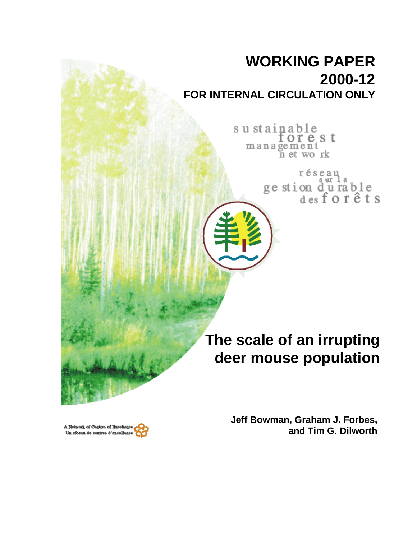# **WORKING PAPER 2000-12 FOR INTERNAL CIRCULATION ONLY**

sustainable orest management n et work

> réseau ge stion durable<br>desforêts

**The scale of an irrupting deer mouse population**

> **Jeff Bowman, Graham J. Forbes, and Tim G. Dilworth**

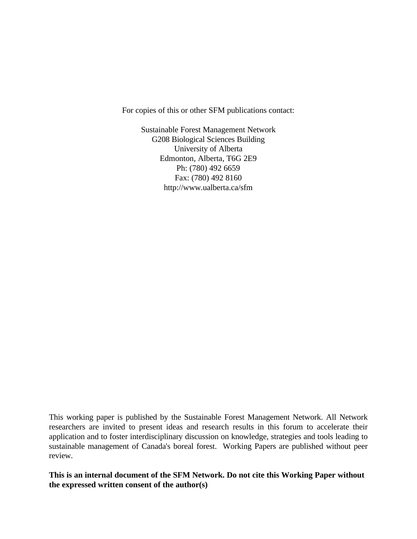For copies of this or other SFM publications contact:

Sustainable Forest Management Network G208 Biological Sciences Building University of Alberta Edmonton, Alberta, T6G 2E9 Ph: (780) 492 6659 Fax: (780) 492 8160 http://www.ualberta.ca/sfm

This working paper is published by the Sustainable Forest Management Network. All Network researchers are invited to present ideas and research results in this forum to accelerate their application and to foster interdisciplinary discussion on knowledge, strategies and tools leading to sustainable management of Canada's boreal forest. Working Papers are published without peer review.

**This is an internal document of the SFM Network. Do not cite this Working Paper without the expressed written consent of the author(s)**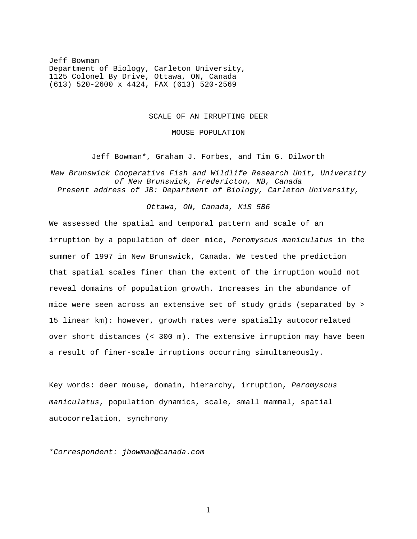Jeff Bowman Department of Biology, Carleton University, 1125 Colonel By Drive, Ottawa, ON, Canada (613) 520-2600 x 4424, FAX (613) 520-2569

#### SCALE OF AN IRRUPTING DEER

MOUSE POPULATION

Jeff Bowman\*, Graham J. Forbes, and Tim G. Dilworth

*New Brunswick Cooperative Fish and Wildlife Research Unit, University of New Brunswick, Fredericton, NB, Canada Present address of JB: Department of Biology, Carleton University,*

## *Ottawa, ON, Canada, K1S 5B6*

We assessed the spatial and temporal pattern and scale of an irruption by a population of deer mice, *Peromyscus maniculatus* in the summer of 1997 in New Brunswick, Canada. We tested the prediction that spatial scales finer than the extent of the irruption would not reveal domains of population growth. Increases in the abundance of mice were seen across an extensive set of study grids (separated by > 15 linear km): however, growth rates were spatially autocorrelated over short distances (< 300 m). The extensive irruption may have been a result of finer-scale irruptions occurring simultaneously.

Key words: deer mouse, domain, hierarchy, irruption, *Peromyscus maniculatus*, population dynamics, scale, small mammal, spatial autocorrelation, synchrony

\**Correspondent: jbowman@canada.com*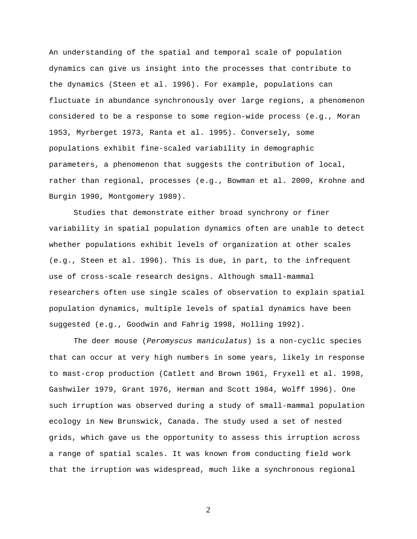An understanding of the spatial and temporal scale of population dynamics can give us insight into the processes that contribute to the dynamics (Steen et al. 1996). For example, populations can fluctuate in abundance synchronously over large regions, a phenomenon considered to be a response to some region-wide process (e.g., Moran 1953, Myrberget 1973, Ranta et al. 1995). Conversely, some populations exhibit fine-scaled variability in demographic parameters, a phenomenon that suggests the contribution of local, rather than regional, processes (e.g., Bowman et al. 2000, Krohne and Burgin 1990, Montgomery 1989).

Studies that demonstrate either broad synchrony or finer variability in spatial population dynamics often are unable to detect whether populations exhibit levels of organization at other scales (e.g., Steen et al. 1996). This is due, in part, to the infrequent use of cross-scale research designs. Although small-mammal researchers often use single scales of observation to explain spatial population dynamics, multiple levels of spatial dynamics have been suggested (e.g., Goodwin and Fahrig 1998, Holling 1992).

The deer mouse (*Peromyscus maniculatus*) is a non-cyclic species that can occur at very high numbers in some years, likely in response to mast-crop production (Catlett and Brown 1961, Fryxell et al. 1998, Gashwiler 1979, Grant 1976, Herman and Scott 1984, Wolff 1996). One such irruption was observed during a study of small-mammal population ecology in New Brunswick, Canada. The study used a set of nested grids, which gave us the opportunity to assess this irruption across a range of spatial scales. It was known from conducting field work that the irruption was widespread, much like a synchronous regional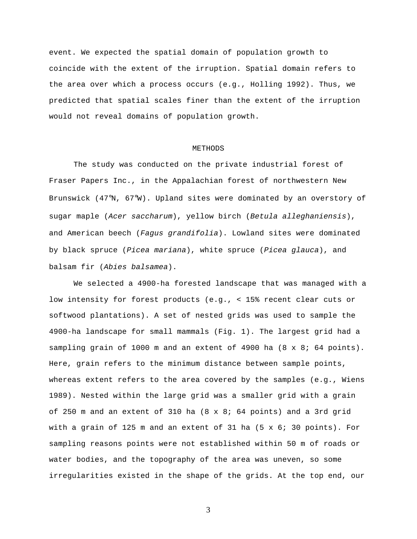event. We expected the spatial domain of population growth to coincide with the extent of the irruption. Spatial domain refers to the area over which a process occurs (e.g., Holling 1992). Thus, we predicted that spatial scales finer than the extent of the irruption would not reveal domains of population growth.

#### METHODS

The study was conducted on the private industrial forest of Fraser Papers Inc., in the Appalachian forest of northwestern New Brunswick (47°N, 67°W). Upland sites were dominated by an overstory of sugar maple (*Acer saccharum*), yellow birch (*Betula alleghaniensis*), and American beech (*Fagus grandifolia*). Lowland sites were dominated by black spruce (*Picea mariana*), white spruce (*Picea glauca*), and balsam fir (*Abies balsamea*).

We selected a 4900-ha forested landscape that was managed with a low intensity for forest products (e.g., < 15% recent clear cuts or softwood plantations). A set of nested grids was used to sample the 4900-ha landscape for small mammals (Fig. 1). The largest grid had a sampling grain of 1000 m and an extent of 4900 ha (8 x 8; 64 points). Here, grain refers to the minimum distance between sample points, whereas extent refers to the area covered by the samples (e.g., Wiens 1989). Nested within the large grid was a smaller grid with a grain of 250 m and an extent of 310 ha (8 x 8; 64 points) and a 3rd grid with a grain of 125 m and an extent of 31 ha  $(5 \times 6; 30 \text{ points})$ . For sampling reasons points were not established within 50 m of roads or water bodies, and the topography of the area was uneven, so some irregularities existed in the shape of the grids. At the top end, our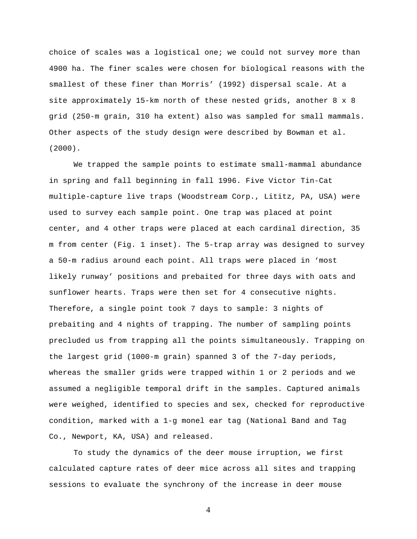choice of scales was a logistical one; we could not survey more than 4900 ha. The finer scales were chosen for biological reasons with the smallest of these finer than Morris' (1992) dispersal scale. At a site approximately 15-km north of these nested grids, another 8 x 8 grid (250-m grain, 310 ha extent) also was sampled for small mammals. Other aspects of the study design were described by Bowman et al. (2000).

We trapped the sample points to estimate small-mammal abundance in spring and fall beginning in fall 1996. Five Victor Tin-Cat multiple-capture live traps (Woodstream Corp., Lititz, PA, USA) were used to survey each sample point. One trap was placed at point center, and 4 other traps were placed at each cardinal direction, 35 m from center (Fig. 1 inset). The 5-trap array was designed to survey a 50-m radius around each point. All traps were placed in 'most likely runway' positions and prebaited for three days with oats and sunflower hearts. Traps were then set for 4 consecutive nights. Therefore, a single point took 7 days to sample: 3 nights of prebaiting and 4 nights of trapping. The number of sampling points precluded us from trapping all the points simultaneously. Trapping on the largest grid (1000-m grain) spanned 3 of the 7-day periods, whereas the smaller grids were trapped within 1 or 2 periods and we assumed a negligible temporal drift in the samples. Captured animals were weighed, identified to species and sex, checked for reproductive condition, marked with a 1-g monel ear tag (National Band and Tag Co., Newport, KA, USA) and released.

To study the dynamics of the deer mouse irruption, we first calculated capture rates of deer mice across all sites and trapping sessions to evaluate the synchrony of the increase in deer mouse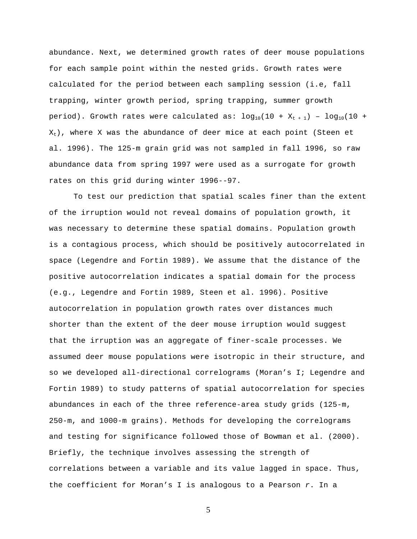abundance. Next, we determined growth rates of deer mouse populations for each sample point within the nested grids. Growth rates were calculated for the period between each sampling session (i.e, fall trapping, winter growth period, spring trapping, summer growth period). Growth rates were calculated as:  $log_{10}(10 + X_{t+1}) - log_{10}(10 +$  $X_t$ ), where X was the abundance of deer mice at each point (Steen et al. 1996). The 125-m grain grid was not sampled in fall 1996, so raw abundance data from spring 1997 were used as a surrogate for growth rates on this grid during winter 1996--97.

To test our prediction that spatial scales finer than the extent of the irruption would not reveal domains of population growth, it was necessary to determine these spatial domains. Population growth is a contagious process, which should be positively autocorrelated in space (Legendre and Fortin 1989). We assume that the distance of the positive autocorrelation indicates a spatial domain for the process (e.g., Legendre and Fortin 1989, Steen et al. 1996). Positive autocorrelation in population growth rates over distances much shorter than the extent of the deer mouse irruption would suggest that the irruption was an aggregate of finer-scale processes. We assumed deer mouse populations were isotropic in their structure, and so we developed all-directional correlograms (Moran's I; Legendre and Fortin 1989) to study patterns of spatial autocorrelation for species abundances in each of the three reference-area study grids (125-m, 250-m, and 1000-m grains). Methods for developing the correlograms and testing for significance followed those of Bowman et al. (2000). Briefly, the technique involves assessing the strength of correlations between a variable and its value lagged in space. Thus, the coefficient for Moran's I is analogous to a Pearson *r*. In a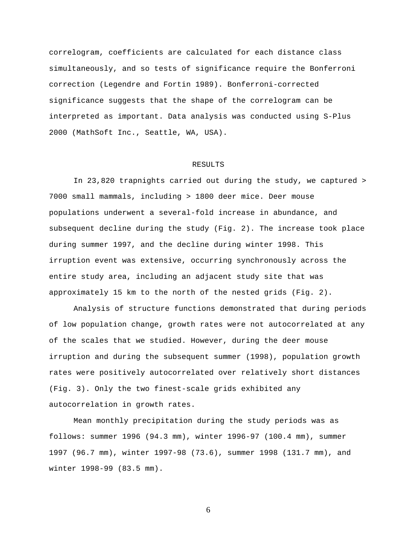correlogram, coefficients are calculated for each distance class simultaneously, and so tests of significance require the Bonferroni correction (Legendre and Fortin 1989). Bonferroni-corrected significance suggests that the shape of the correlogram can be interpreted as important. Data analysis was conducted using S-Plus 2000 (MathSoft Inc., Seattle, WA, USA).

## RESULTS

In 23,820 trapnights carried out during the study, we captured > 7000 small mammals, including > 1800 deer mice. Deer mouse populations underwent a several-fold increase in abundance, and subsequent decline during the study (Fig. 2). The increase took place during summer 1997, and the decline during winter 1998. This irruption event was extensive, occurring synchronously across the entire study area, including an adjacent study site that was approximately 15 km to the north of the nested grids (Fig. 2).

Analysis of structure functions demonstrated that during periods of low population change, growth rates were not autocorrelated at any of the scales that we studied. However, during the deer mouse irruption and during the subsequent summer (1998), population growth rates were positively autocorrelated over relatively short distances (Fig. 3). Only the two finest-scale grids exhibited any autocorrelation in growth rates.

Mean monthly precipitation during the study periods was as follows: summer 1996 (94.3 mm), winter 1996-97 (100.4 mm), summer 1997 (96.7 mm), winter 1997-98 (73.6), summer 1998 (131.7 mm), and winter 1998-99 (83.5 mm).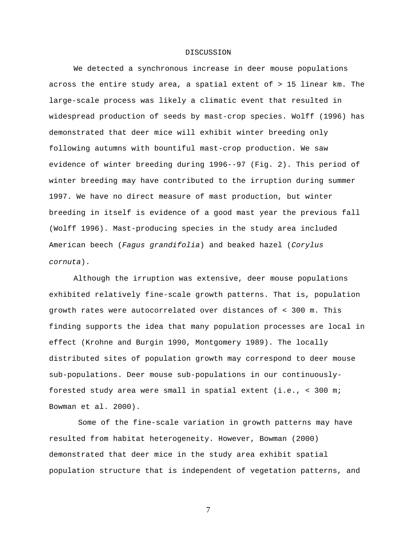# DISCUSSION

We detected a synchronous increase in deer mouse populations across the entire study area, a spatial extent of > 15 linear km. The large-scale process was likely a climatic event that resulted in widespread production of seeds by mast-crop species. Wolff (1996) has demonstrated that deer mice will exhibit winter breeding only following autumns with bountiful mast-crop production. We saw evidence of winter breeding during 1996--97 (Fig. 2). This period of winter breeding may have contributed to the irruption during summer 1997. We have no direct measure of mast production, but winter breeding in itself is evidence of a good mast year the previous fall (Wolff 1996). Mast-producing species in the study area included American beech (*Fagus grandifolia*) and beaked hazel (*Corylus cornuta*).

Although the irruption was extensive, deer mouse populations exhibited relatively fine-scale growth patterns. That is, population growth rates were autocorrelated over distances of < 300 m. This finding supports the idea that many population processes are local in effect (Krohne and Burgin 1990, Montgomery 1989). The locally distributed sites of population growth may correspond to deer mouse sub-populations. Deer mouse sub-populations in our continuouslyforested study area were small in spatial extent (i.e., < 300 m; Bowman et al. 2000).

 Some of the fine-scale variation in growth patterns may have resulted from habitat heterogeneity. However, Bowman (2000) demonstrated that deer mice in the study area exhibit spatial population structure that is independent of vegetation patterns, and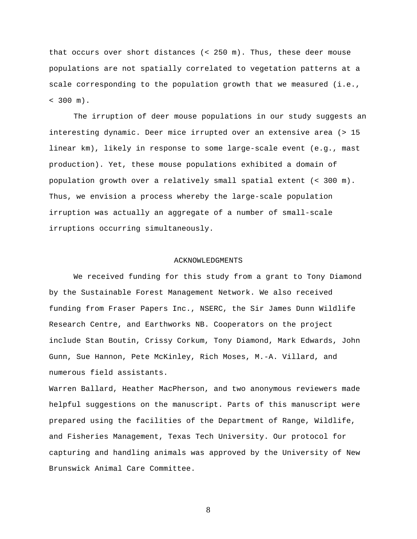that occurs over short distances (< 250 m). Thus, these deer mouse populations are not spatially correlated to vegetation patterns at a scale corresponding to the population growth that we measured (i.e.,  $< 300$  m).

The irruption of deer mouse populations in our study suggests an interesting dynamic. Deer mice irrupted over an extensive area (> 15 linear km), likely in response to some large-scale event (e.g., mast production). Yet, these mouse populations exhibited a domain of population growth over a relatively small spatial extent (< 300 m). Thus, we envision a process whereby the large-scale population irruption was actually an aggregate of a number of small-scale irruptions occurring simultaneously.

### ACKNOWLEDGMENTS

We received funding for this study from a grant to Tony Diamond by the Sustainable Forest Management Network. We also received funding from Fraser Papers Inc., NSERC, the Sir James Dunn Wildlife Research Centre, and Earthworks NB. Cooperators on the project include Stan Boutin, Crissy Corkum, Tony Diamond, Mark Edwards, John Gunn, Sue Hannon, Pete McKinley, Rich Moses, M.-A. Villard, and numerous field assistants.

Warren Ballard, Heather MacPherson, and two anonymous reviewers made helpful suggestions on the manuscript. Parts of this manuscript were prepared using the facilities of the Department of Range, Wildlife, and Fisheries Management, Texas Tech University. Our protocol for capturing and handling animals was approved by the University of New Brunswick Animal Care Committee.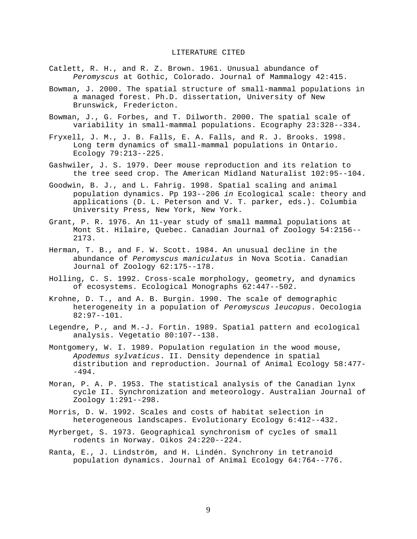# LITERATURE CITED

- Catlett, R. H., and R. Z. Brown. 1961. Unusual abundance of *Peromyscus* at Gothic, Colorado. Journal of Mammalogy 42:415.
- Bowman, J. 2000. The spatial structure of small-mammal populations in a managed forest. Ph.D. dissertation, University of New Brunswick, Fredericton.
- Bowman, J., G. Forbes, and T. Dilworth. 2000. The spatial scale of variability in small-mammal populations. Ecography 23:328--334.
- Fryxell, J. M., J. B. Falls, E. A. Falls, and R. J. Brooks. 1998. Long term dynamics of small-mammal populations in Ontario. Ecology 79:213--225.
- Gashwiler, J. S. 1979. Deer mouse reproduction and its relation to the tree seed crop. The American Midland Naturalist 102:95--104.
- Goodwin, B. J., and L. Fahrig. 1998. Spatial scaling and animal population dynamics. Pp 193--206 *in* Ecological scale: theory and applications (D. L. Peterson and V. T. parker, eds.). Columbia University Press, New York, New York.
- Grant, P. R. 1976. An 11-year study of small mammal populations at Mont St. Hilaire, Quebec. Canadian Journal of Zoology 54:2156-- 2173.
- Herman, T. B., and F. W. Scott. 1984. An unusual decline in the abundance of *Peromyscus maniculatus* in Nova Scotia. Canadian Journal of Zoology 62:175--178.
- Holling, C. S. 1992. Cross-scale morphology, geometry, and dynamics of ecosystems. Ecological Monographs 62:447--502.
- Krohne, D. T., and A. B. Burgin. 1990. The scale of demographic heterogeneity in a population of *Peromyscus leucopus*. Oecologia 82:97--101.
- Legendre, P., and M.-J. Fortin. 1989. Spatial pattern and ecological analysis. Vegetatio 80:107--138.
- Montgomery, W. I. 1989. Population regulation in the wood mouse, *Apodemus sylvaticus*. II. Density dependence in spatial distribution and reproduction. Journal of Animal Ecology 58:477- -494.
- Moran, P. A. P. 1953. The statistical analysis of the Canadian lynx cycle II. Synchronization and meteorology. Australian Journal of Zoology 1:291--298.
- Morris, D. W. 1992. Scales and costs of habitat selection in heterogeneous landscapes. Evolutionary Ecology 6:412--432.
- Myrberget, S. 1973. Geographical synchronism of cycles of small rodents in Norway. Oikos 24:220--224.
- Ranta, E., J. Lindström, and H. Lindén. Synchrony in tetranoid population dynamics. Journal of Animal Ecology 64:764--776.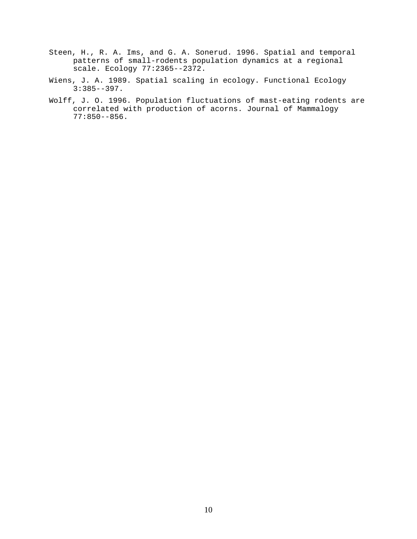- Steen, H., R. A. Ims, and G. A. Sonerud. 1996. Spatial and temporal patterns of small-rodents population dynamics at a regional scale. Ecology 77:2365--2372.
- Wiens, J. A. 1989. Spatial scaling in ecology. Functional Ecology 3:385--397.
- Wolff, J. O. 1996. Population fluctuations of mast-eating rodents are correlated with production of acorns. Journal of Mammalogy 77:850--856.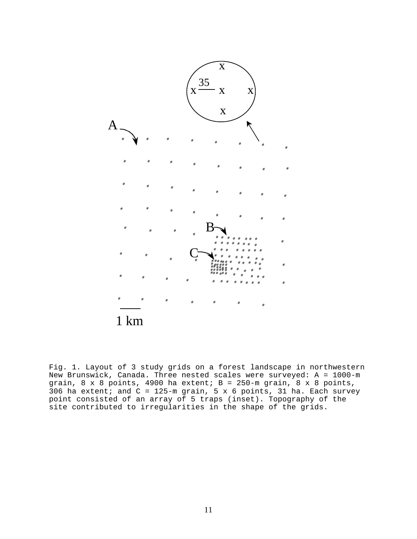

Fig. 1. Layout of 3 study grids on a forest landscape in northwestern New Brunswick, Canada. Three nested scales were surveyed: A = 1000-m grain,  $8 \times 8$  points, 4900 ha extent;  $B = 250$ -m grain,  $8 \times 8$  points,  $306$  ha extent; and C = 125-m grain, 5 x 6 points, 31 ha. Each survey point consisted of an array of 5 traps (inset). Topography of the site contributed to irregularities in the shape of the grids.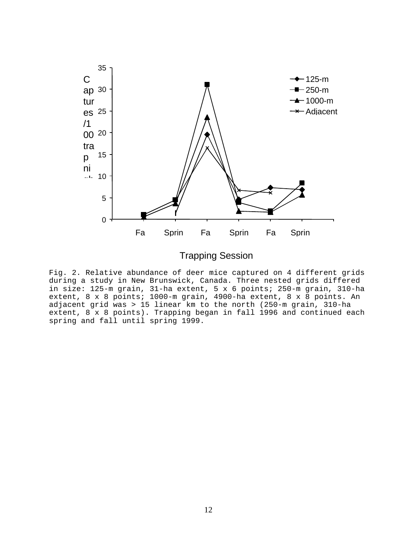

Trapping Session

Fig. 2. Relative abundance of deer mice captured on 4 different grids during a study in New Brunswick, Canada. Three nested grids differed in size: 125-m grain, 31-ha extent, 5 x 6 points; 250-m grain, 310-ha extent, 8 x 8 points; 1000-m grain, 4900-ha extent, 8 x 8 points. An adjacent grid was > 15 linear km to the north (250-m grain, 310-ha extent, 8 x 8 points). Trapping began in fall 1996 and continued each spring and fall until spring 1999.